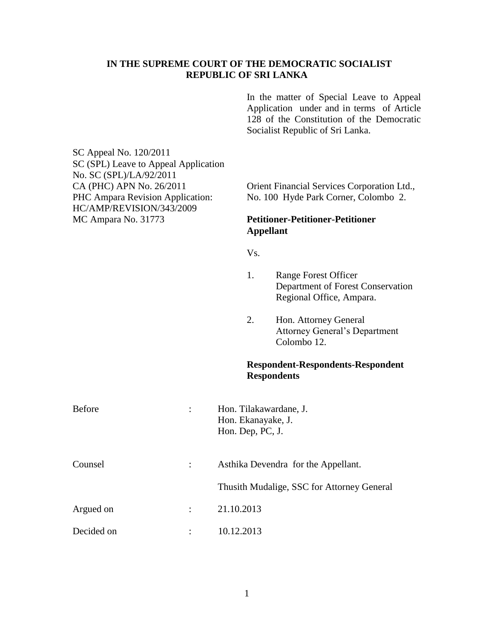## **IN THE SUPREME COURT OF THE DEMOCRATIC SOCIALIST REPUBLIC OF SRI LANKA**

In the matter of Special Leave to Appeal Application under and in terms of Article 128 of the Constitution of the Democratic Socialist Republic of Sri Lanka.

SC Appeal No. 120/2011 SC (SPL) Leave to Appeal Application No. SC (SPL)/LA/92/2011 CA (PHC) APN No. 26/2011 Orient Financial Services Corporation Ltd., HC/AMP/REVISION/343/2009 MC Ampara No. 31773 **Petitioner-Petitioner-Petitioner**

PHC Ampara Revision Application: No. 100 Hyde Park Corner, Colombo 2.

## **Appellant**

Vs.

- 1. Range Forest Officer Department of Forest Conservation Regional Office, Ampara.
- 2. Hon. Attorney General Attorney General's Department Colombo 12.

## **Respondent-Respondents-Respondent Respondents**

| Before     |   | Hon. Tilakawardane, J.<br>Hon. Ekanayake, J.<br>Hon. Dep, PC, J. |
|------------|---|------------------------------------------------------------------|
| Counsel    |   | Asthika Devendra for the Appellant.                              |
|            |   | Thusith Mudalige, SSC for Attorney General                       |
| Argued on  |   | 21.10.2013                                                       |
| Decided on | ٠ | 10.12.2013                                                       |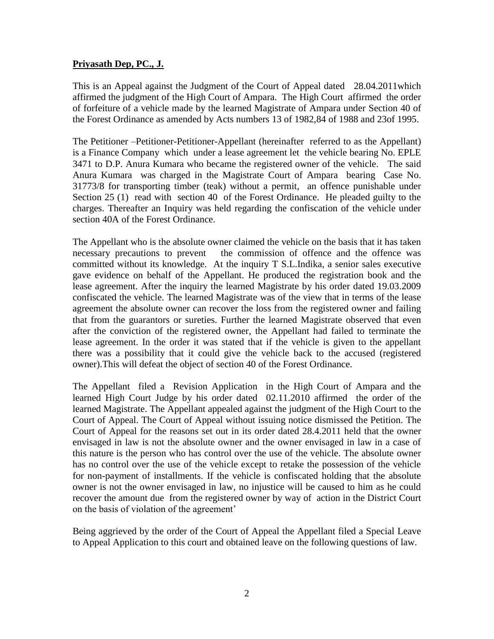## **Priyasath Dep, PC., J.**

This is an Appeal against the Judgment of the Court of Appeal dated 28.04.2011which affirmed the judgment of the High Court of Ampara. The High Court affirmed the order of forfeiture of a vehicle made by the learned Magistrate of Ampara under Section 40 of the Forest Ordinance as amended by Acts numbers 13 of 1982,84 of 1988 and 23of 1995.

The Petitioner –Petitioner-Petitioner-Appellant (hereinafter referred to as the Appellant) is a Finance Company which under a lease agreement let the vehicle bearing No. EPLE 3471 to D.P. Anura Kumara who became the registered owner of the vehicle. The said Anura Kumara was charged in the Magistrate Court of Ampara bearing Case No. 31773/8 for transporting timber (teak) without a permit, an offence punishable under Section 25 (1) read with section 40 of the Forest Ordinance. He pleaded guilty to the charges. Thereafter an Inquiry was held regarding the confiscation of the vehicle under section 40A of the Forest Ordinance.

The Appellant who is the absolute owner claimed the vehicle on the basis that it has taken necessary precautions to prevent the commission of offence and the offence was committed without its knowledge. At the inquiry T S.L.Indika, a senior sales executive gave evidence on behalf of the Appellant. He produced the registration book and the lease agreement. After the inquiry the learned Magistrate by his order dated 19.03.2009 confiscated the vehicle. The learned Magistrate was of the view that in terms of the lease agreement the absolute owner can recover the loss from the registered owner and failing that from the guarantors or sureties. Further the learned Magistrate observed that even after the conviction of the registered owner, the Appellant had failed to terminate the lease agreement. In the order it was stated that if the vehicle is given to the appellant there was a possibility that it could give the vehicle back to the accused (registered owner).This will defeat the object of section 40 of the Forest Ordinance.

The Appellant filed a Revision Application in the High Court of Ampara and the learned High Court Judge by his order dated 02.11.2010 affirmed the order of the learned Magistrate. The Appellant appealed against the judgment of the High Court to the Court of Appeal. The Court of Appeal without issuing notice dismissed the Petition. The Court of Appeal for the reasons set out in its order dated 28.4.2011 held that the owner envisaged in law is not the absolute owner and the owner envisaged in law in a case of this nature is the person who has control over the use of the vehicle. The absolute owner has no control over the use of the vehicle except to retake the possession of the vehicle for non-payment of installments. If the vehicle is confiscated holding that the absolute owner is not the owner envisaged in law, no injustice will be caused to him as he could recover the amount due from the registered owner by way of action in the District Court on the basis of violation of the agreement'

Being aggrieved by the order of the Court of Appeal the Appellant filed a Special Leave to Appeal Application to this court and obtained leave on the following questions of law.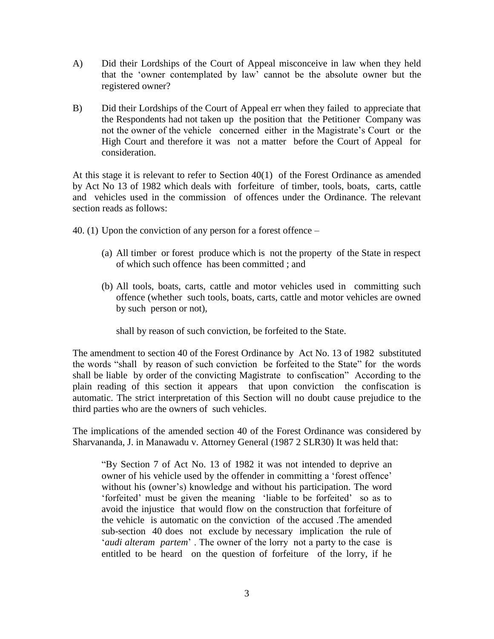- A) Did their Lordships of the Court of Appeal misconceive in law when they held that the 'owner contemplated by law' cannot be the absolute owner but the registered owner?
- B) Did their Lordships of the Court of Appeal err when they failed to appreciate that the Respondents had not taken up the position that the Petitioner Company was not the owner of the vehicle concerned either in the Magistrate's Court or the High Court and therefore it was not a matter before the Court of Appeal for consideration.

At this stage it is relevant to refer to Section 40(1) of the Forest Ordinance as amended by Act No 13 of 1982 which deals with forfeiture of timber, tools, boats, carts, cattle and vehicles used in the commission of offences under the Ordinance. The relevant section reads as follows:

- 40. (1) Upon the conviction of any person for a forest offence
	- (a) All timber or forest produce which is not the property of the State in respect of which such offence has been committed ; and
	- (b) All tools, boats, carts, cattle and motor vehicles used in committing such offence (whether such tools, boats, carts, cattle and motor vehicles are owned by such person or not),

shall by reason of such conviction, be forfeited to the State.

The amendment to section 40 of the Forest Ordinance by Act No. 13 of 1982 substituted the words "shall by reason of such conviction be forfeited to the State" for the words shall be liable by order of the convicting Magistrate to confiscation" According to the plain reading of this section it appears that upon conviction the confiscation is automatic. The strict interpretation of this Section will no doubt cause prejudice to the third parties who are the owners of such vehicles.

The implications of the amended section 40 of the Forest Ordinance was considered by Sharvananda, J. in Manawadu v. Attorney General (1987 2 SLR30) It was held that:

"By Section 7 of Act No. 13 of 1982 it was not intended to deprive an owner of his vehicle used by the offender in committing a 'forest offence' without his (owner's) knowledge and without his participation. The word 'forfeited' must be given the meaning 'liable to be forfeited' so as to avoid the injustice that would flow on the construction that forfeiture of the vehicle is automatic on the conviction of the accused .The amended sub-section 40 does not exclude by necessary implication the rule of '*audi alteram partem*' . The owner of the lorry not a party to the case is entitled to be heard on the question of forfeiture of the lorry, if he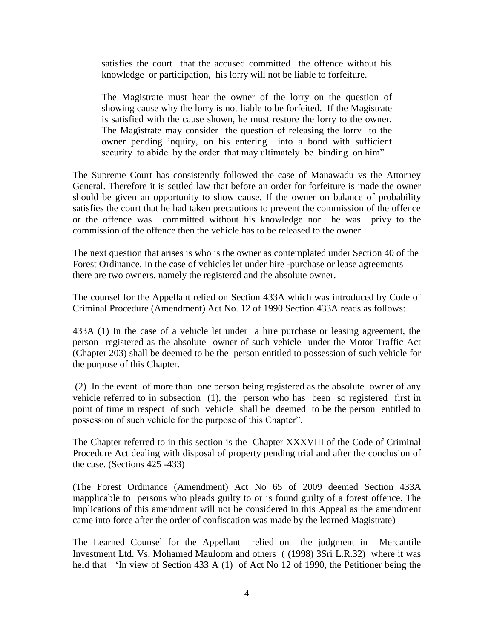satisfies the court that the accused committed the offence without his knowledge or participation, his lorry will not be liable to forfeiture.

The Magistrate must hear the owner of the lorry on the question of showing cause why the lorry is not liable to be forfeited. If the Magistrate is satisfied with the cause shown, he must restore the lorry to the owner. The Magistrate may consider the question of releasing the lorry to the owner pending inquiry, on his entering into a bond with sufficient security to abide by the order that may ultimately be binding on him"

The Supreme Court has consistently followed the case of Manawadu vs the Attorney General. Therefore it is settled law that before an order for forfeiture is made the owner should be given an opportunity to show cause. If the owner on balance of probability satisfies the court that he had taken precautions to prevent the commission of the offence or the offence was committed without his knowledge nor he was privy to the commission of the offence then the vehicle has to be released to the owner.

The next question that arises is who is the owner as contemplated under Section 40 of the Forest Ordinance. In the case of vehicles let under hire -purchase or lease agreements there are two owners, namely the registered and the absolute owner.

The counsel for the Appellant relied on Section 433A which was introduced by Code of Criminal Procedure (Amendment) Act No. 12 of 1990.Section 433A reads as follows:

433A (1) In the case of a vehicle let under a hire purchase or leasing agreement, the person registered as the absolute owner of such vehicle under the Motor Traffic Act (Chapter 203) shall be deemed to be the person entitled to possession of such vehicle for the purpose of this Chapter.

(2) In the event of more than one person being registered as the absolute owner of any vehicle referred to in subsection (1), the person who has been so registered first in point of time in respect of such vehicle shall be deemed to be the person entitled to possession of such vehicle for the purpose of this Chapter".

The Chapter referred to in this section is the Chapter XXXVIII of the Code of Criminal Procedure Act dealing with disposal of property pending trial and after the conclusion of the case. (Sections 425 -433)

(The Forest Ordinance (Amendment) Act No 65 of 2009 deemed Section 433A inapplicable to persons who pleads guilty to or is found guilty of a forest offence. The implications of this amendment will not be considered in this Appeal as the amendment came into force after the order of confiscation was made by the learned Magistrate)

The Learned Counsel for the Appellant relied on the judgment in Mercantile Investment Ltd. Vs. Mohamed Mauloom and others ( (1998) 3Sri L.R.32) where it was held that 'In view of Section 433 A (1) of Act No 12 of 1990, the Petitioner being the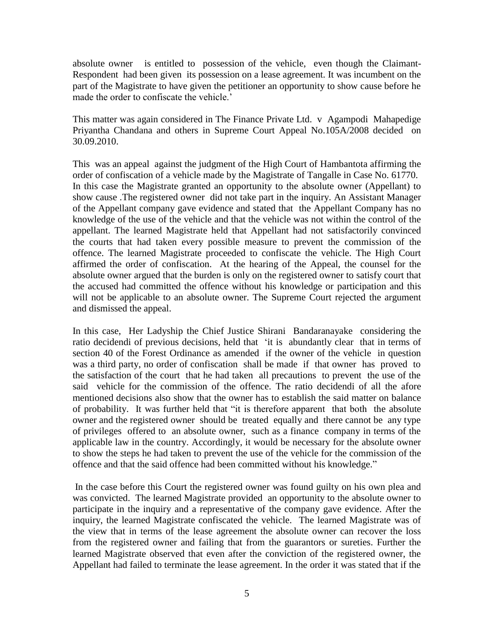absolute owner is entitled to possession of the vehicle, even though the Claimant-Respondent had been given its possession on a lease agreement. It was incumbent on the part of the Magistrate to have given the petitioner an opportunity to show cause before he made the order to confiscate the vehicle.'

This matter was again considered in The Finance Private Ltd. v Agampodi Mahapedige Priyantha Chandana and others in Supreme Court Appeal No.105A/2008 decided on 30.09.2010.

This was an appeal against the judgment of the High Court of Hambantota affirming the order of confiscation of a vehicle made by the Magistrate of Tangalle in Case No. 61770. In this case the Magistrate granted an opportunity to the absolute owner (Appellant) to show cause .The registered owner did not take part in the inquiry. An Assistant Manager of the Appellant company gave evidence and stated that the Appellant Company has no knowledge of the use of the vehicle and that the vehicle was not within the control of the appellant. The learned Magistrate held that Appellant had not satisfactorily convinced the courts that had taken every possible measure to prevent the commission of the offence. The learned Magistrate proceeded to confiscate the vehicle. The High Court affirmed the order of confiscation. At the hearing of the Appeal, the counsel for the absolute owner argued that the burden is only on the registered owner to satisfy court that the accused had committed the offence without his knowledge or participation and this will not be applicable to an absolute owner. The Supreme Court rejected the argument and dismissed the appeal.

In this case, Her Ladyship the Chief Justice Shirani Bandaranayake considering the ratio decidendi of previous decisions, held that 'it is abundantly clear that in terms of section 40 of the Forest Ordinance as amended if the owner of the vehicle in question was a third party, no order of confiscation shall be made if that owner has proved to the satisfaction of the court that he had taken all precautions to prevent the use of the said vehicle for the commission of the offence. The ratio decidendi of all the afore mentioned decisions also show that the owner has to establish the said matter on balance of probability. It was further held that "it is therefore apparent that both the absolute owner and the registered owner should be treated equally and there cannot be any type of privileges offered to an absolute owner, such as a finance company in terms of the applicable law in the country. Accordingly, it would be necessary for the absolute owner to show the steps he had taken to prevent the use of the vehicle for the commission of the offence and that the said offence had been committed without his knowledge."

In the case before this Court the registered owner was found guilty on his own plea and was convicted. The learned Magistrate provided an opportunity to the absolute owner to participate in the inquiry and a representative of the company gave evidence. After the inquiry, the learned Magistrate confiscated the vehicle. The learned Magistrate was of the view that in terms of the lease agreement the absolute owner can recover the loss from the registered owner and failing that from the guarantors or sureties. Further the learned Magistrate observed that even after the conviction of the registered owner, the Appellant had failed to terminate the lease agreement. In the order it was stated that if the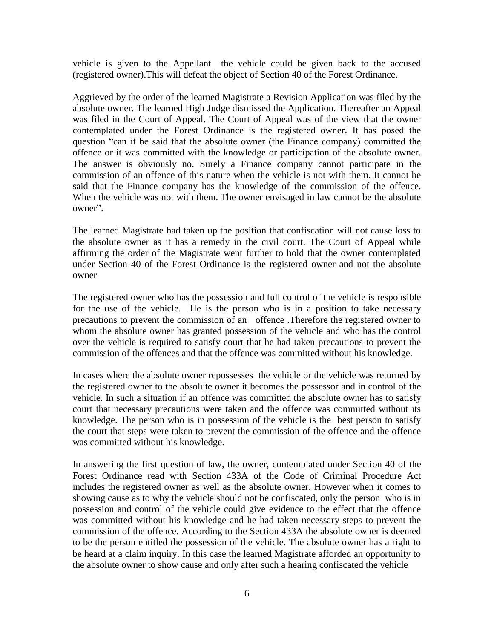vehicle is given to the Appellant the vehicle could be given back to the accused (registered owner).This will defeat the object of Section 40 of the Forest Ordinance.

Aggrieved by the order of the learned Magistrate a Revision Application was filed by the absolute owner. The learned High Judge dismissed the Application. Thereafter an Appeal was filed in the Court of Appeal. The Court of Appeal was of the view that the owner contemplated under the Forest Ordinance is the registered owner. It has posed the question "can it be said that the absolute owner (the Finance company) committed the offence or it was committed with the knowledge or participation of the absolute owner. The answer is obviously no. Surely a Finance company cannot participate in the commission of an offence of this nature when the vehicle is not with them. It cannot be said that the Finance company has the knowledge of the commission of the offence. When the vehicle was not with them. The owner envisaged in law cannot be the absolute owner".

The learned Magistrate had taken up the position that confiscation will not cause loss to the absolute owner as it has a remedy in the civil court. The Court of Appeal while affirming the order of the Magistrate went further to hold that the owner contemplated under Section 40 of the Forest Ordinance is the registered owner and not the absolute owner

The registered owner who has the possession and full control of the vehicle is responsible for the use of the vehicle. He is the person who is in a position to take necessary precautions to prevent the commission of an offence .Therefore the registered owner to whom the absolute owner has granted possession of the vehicle and who has the control over the vehicle is required to satisfy court that he had taken precautions to prevent the commission of the offences and that the offence was committed without his knowledge.

In cases where the absolute owner repossesses the vehicle or the vehicle was returned by the registered owner to the absolute owner it becomes the possessor and in control of the vehicle. In such a situation if an offence was committed the absolute owner has to satisfy court that necessary precautions were taken and the offence was committed without its knowledge. The person who is in possession of the vehicle is the best person to satisfy the court that steps were taken to prevent the commission of the offence and the offence was committed without his knowledge.

In answering the first question of law, the owner, contemplated under Section 40 of the Forest Ordinance read with Section 433A of the Code of Criminal Procedure Act includes the registered owner as well as the absolute owner. However when it comes to showing cause as to why the vehicle should not be confiscated, only the person who is in possession and control of the vehicle could give evidence to the effect that the offence was committed without his knowledge and he had taken necessary steps to prevent the commission of the offence. According to the Section 433A the absolute owner is deemed to be the person entitled the possession of the vehicle. The absolute owner has a right to be heard at a claim inquiry. In this case the learned Magistrate afforded an opportunity to the absolute owner to show cause and only after such a hearing confiscated the vehicle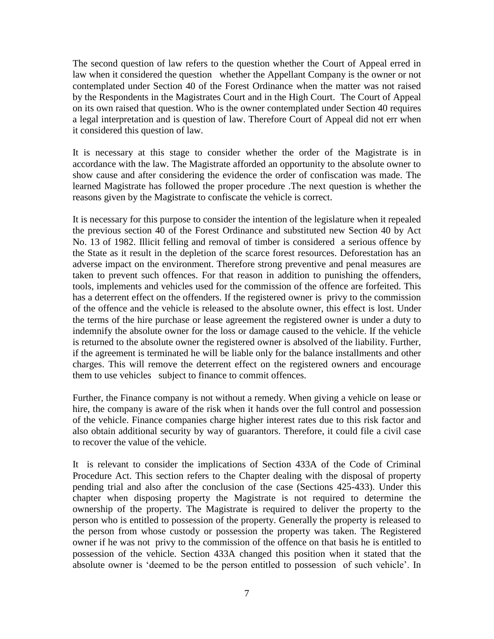The second question of law refers to the question whether the Court of Appeal erred in law when it considered the question whether the Appellant Company is the owner or not contemplated under Section 40 of the Forest Ordinance when the matter was not raised by the Respondents in the Magistrates Court and in the High Court. The Court of Appeal on its own raised that question. Who is the owner contemplated under Section 40 requires a legal interpretation and is question of law. Therefore Court of Appeal did not err when it considered this question of law.

It is necessary at this stage to consider whether the order of the Magistrate is in accordance with the law. The Magistrate afforded an opportunity to the absolute owner to show cause and after considering the evidence the order of confiscation was made. The learned Magistrate has followed the proper procedure .The next question is whether the reasons given by the Magistrate to confiscate the vehicle is correct.

It is necessary for this purpose to consider the intention of the legislature when it repealed the previous section 40 of the Forest Ordinance and substituted new Section 40 by Act No. 13 of 1982. Illicit felling and removal of timber is considered a serious offence by the State as it result in the depletion of the scarce forest resources. Deforestation has an adverse impact on the environment. Therefore strong preventive and penal measures are taken to prevent such offences. For that reason in addition to punishing the offenders, tools, implements and vehicles used for the commission of the offence are forfeited. This has a deterrent effect on the offenders. If the registered owner is privy to the commission of the offence and the vehicle is released to the absolute owner, this effect is lost. Under the terms of the hire purchase or lease agreement the registered owner is under a duty to indemnify the absolute owner for the loss or damage caused to the vehicle. If the vehicle is returned to the absolute owner the registered owner is absolved of the liability. Further, if the agreement is terminated he will be liable only for the balance installments and other charges. This will remove the deterrent effect on the registered owners and encourage them to use vehicles subject to finance to commit offences.

Further, the Finance company is not without a remedy. When giving a vehicle on lease or hire, the company is aware of the risk when it hands over the full control and possession of the vehicle. Finance companies charge higher interest rates due to this risk factor and also obtain additional security by way of guarantors. Therefore, it could file a civil case to recover the value of the vehicle.

It is relevant to consider the implications of Section 433A of the Code of Criminal Procedure Act. This section refers to the Chapter dealing with the disposal of property pending trial and also after the conclusion of the case (Sections 425-433). Under this chapter when disposing property the Magistrate is not required to determine the ownership of the property. The Magistrate is required to deliver the property to the person who is entitled to possession of the property. Generally the property is released to the person from whose custody or possession the property was taken. The Registered owner if he was not privy to the commission of the offence on that basis he is entitled to possession of the vehicle. Section 433A changed this position when it stated that the absolute owner is 'deemed to be the person entitled to possession of such vehicle'. In